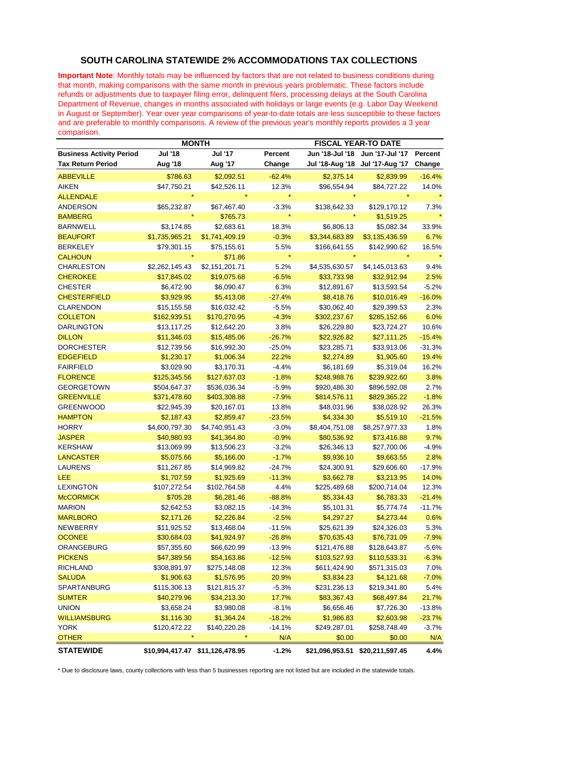## **SOUTH CAROLINA STATEWIDE 2% ACCOMMODATIONS TAX COLLECTIONS**

**Important Note**: Monthly totals may be influenced by factors that are not related to business conditions during that month, making comparisons with the same month in previous years problematic. These factors include refunds or adjustments due to taxpayer filing error, delinquent filers, processing delays at the South Carolina Department of Revenue, changes in months associated with holidays or large events (e.g. Labor Day Weekend in August or September). Year over year comparisons of year-to-date totals are less susceptible to these factors and are preferable to monthly comparisons. A review of the previous year's monthly reports provides a 3 year comparison.

|                                 | <b>MONTH</b>   |                |          |                                 | <b>FISCAL YEAR-TO DATE</b> |          |  |
|---------------------------------|----------------|----------------|----------|---------------------------------|----------------------------|----------|--|
| <b>Business Activity Period</b> | <b>Jul '18</b> | <b>Jul '17</b> | Percent  | Jun '18-Jul '18                 | Jun '17-Jul '17            | Percent  |  |
| <b>Tax Return Period</b>        | Aug '18        | Aug '17        | Change   | Jul '18-Aug '18                 | Jul '17-Aug '17            | Change   |  |
| <b>ABBEVILLE</b>                | \$786.63       | \$2,092.51     | $-62.4%$ | \$2,375.14                      | \$2,839.99                 | $-16.4%$ |  |
| <b>AIKEN</b>                    | \$47,750.21    | \$42,526.11    | 12.3%    | \$96,554.94                     | \$84,727.22                | 14.0%    |  |
| <b>ALLENDALE</b>                |                |                |          |                                 |                            |          |  |
| <b>ANDERSON</b>                 | \$65,232.87    | \$67,467.40    | $-3.3%$  | \$138,642.33                    | \$129,170.12               | 7.3%     |  |
| <b>BAMBERG</b>                  |                | \$765.73       |          |                                 | \$1,519.25                 |          |  |
| <b>BARNWELL</b>                 | \$3,174.85     | \$2,683.61     | 18.3%    | \$6,806.13                      | \$5,082.34                 | 33.9%    |  |
| <b>BEAUFORT</b>                 | \$1,735,965.21 | \$1,741,409.19 | $-0.3%$  | \$3,344,683.89                  | \$3,135,436.59             | 6.7%     |  |
| <b>BERKELEY</b>                 | \$79,301.15    | \$75,155.61    | 5.5%     | \$166,641.55                    | \$142,990.62               | 16.5%    |  |
| <b>CALHOUN</b>                  |                | \$71.86        | $\star$  |                                 |                            |          |  |
| CHARLESTON                      | \$2,262,145.43 | \$2,151,201.71 | 5.2%     | \$4,535,630.57                  | \$4,145,013.63             | 9.4%     |  |
| <b>CHEROKEE</b>                 | \$17,845.02    | \$19,075.68    | $-6.5%$  | \$33,733.98                     | \$32,912.94                | 2.5%     |  |
| <b>CHESTER</b>                  | \$6,472.90     | \$6,090.47     | 6.3%     | \$12,891.67                     | \$13,593.54                | $-5.2%$  |  |
| <b>CHESTERFIELD</b>             | \$3,929.95     | \$5,413.08     | $-27.4%$ | \$8,418.76                      | \$10,016.49                | $-16.0%$ |  |
| CLARENDON                       | \$15,155.58    | \$16,032.42    | $-5.5%$  | \$30,062.40                     | \$29,399.53                | 2.3%     |  |
| <b>COLLETON</b>                 | \$162,939.51   | \$170,270.95   | $-4.3%$  | \$302,237.67                    | \$285,152.66               | 6.0%     |  |
| DARLINGTON                      | \$13,117.25    | \$12,642.20    | 3.8%     | \$26,229.80                     | \$23,724.27                | 10.6%    |  |
| <b>DILLON</b>                   | \$11,346.03    | \$15,485.06    | $-26.7%$ | \$22,926.82                     | \$27,111.25                | $-15.4%$ |  |
| DORCHESTER                      | \$12,739.56    | \$16,992.30    | $-25.0%$ | \$23,285.71                     | \$33,913.06                | $-31.3%$ |  |
| <b>EDGEFIELD</b>                | \$1,230.17     | \$1,006.34     | 22.2%    | \$2,274.89                      | \$1,905.60                 | 19.4%    |  |
| FAIRFIELD                       | \$3,029.90     | \$3,170.31     | $-4.4%$  | \$6,181.69                      | \$5,319.04                 | 16.2%    |  |
| <b>FLORENCE</b>                 | \$125,345.56   | \$127,637.03   | $-1.8%$  | \$248,988.76                    | \$239,922.60               | 3.8%     |  |
| GEORGETOWN                      | \$504,647.37   | \$536,036.34   | $-5.9%$  | \$920,486.30                    | \$896,592.08               | 2.7%     |  |
| <b>GREENVILLE</b>               | \$371,478.60   | \$403,308.88   | $-7.9%$  | \$814,576.11                    | \$829,365.22               | $-1.8%$  |  |
| <b>GREENWOOD</b>                | \$22,945.39    | \$20,167.01    | 13.8%    | \$48,031.96                     | \$38,028.92                | 26.3%    |  |
| <b>HAMPTON</b>                  | \$2,187.43     | \$2,859.47     | $-23.5%$ | \$4,334.30                      | \$5,519.10                 | $-21.5%$ |  |
| <b>HORRY</b>                    | \$4,600,797.30 | \$4,740,951.43 | $-3.0%$  | \$8,404,751.08                  | \$8,257,977.33             | 1.8%     |  |
| <b>JASPER</b>                   | \$40,980.93    | \$41,364.80    | $-0.9%$  | \$80,536.92                     | \$73,416.88                | 9.7%     |  |
| <b>KERSHAW</b>                  | \$13,069.99    | \$13,506.23    | $-3.2%$  | \$26,346.13                     | \$27,700.06                | $-4.9%$  |  |
| <b>LANCASTER</b>                | \$5,075.66     | \$5,166.00     | $-1.7%$  | \$9,936.10                      | \$9,663.55                 | 2.8%     |  |
| <b>LAURENS</b>                  | \$11,267.85    | \$14,969.82    | $-24.7%$ | \$24,300.91                     | \$29,606.60                | $-17.9%$ |  |
| LEE                             | \$1,707.59     | \$1,925.69     | $-11.3%$ | \$3,662.78                      | \$3,213.95                 | 14.0%    |  |
| <b>LEXINGTON</b>                | \$107,272.54   | \$102,764.58   | 4.4%     | \$225,489.68                    | \$200,714.04               | 12.3%    |  |
| <b>McCORMICK</b>                | \$705.28       | \$6,281.46     | $-88.8%$ | \$5,334.43                      | \$6,783.33                 | $-21.4%$ |  |
| <b>MARION</b>                   | \$2,642.53     | \$3,082.15     | $-14.3%$ | \$5,101.31                      | \$5,774.74                 | $-11.7%$ |  |
| <b>MARLBORO</b>                 | \$2,171.26     | \$2,226.84     | $-2.5%$  | \$4,297.27                      | \$4,273.44                 | 0.6%     |  |
| <b>NEWBERRY</b>                 | \$11,925.52    | \$13,468.04    | $-11.5%$ | \$25,621.39                     | \$24,326.03                | 5.3%     |  |
| <b>OCONEE</b>                   | \$30,684.03    | \$41,924.97    | $-26.8%$ | \$70,635.43                     | \$76,731.09                | $-7.9%$  |  |
| ORANGEBURG                      | \$57,355.60    | \$66,620.99    | $-13.9%$ | \$121,476.88                    | \$128,643.87               | $-5.6%$  |  |
| <b>PICKENS</b>                  | \$47,389.56    | \$54,163.86    | $-12.5%$ | \$103,527.93                    | \$110,533.31               | $-6.3%$  |  |
| <b>RICHLAND</b>                 | \$308,891.97   | \$275.148.08   | 12.3%    | \$611.424.90                    | \$571,315.03               | 7.0%     |  |
| <b>SALUDA</b>                   | \$1,906.63     | \$1,576.95     | 20.9%    | \$3,834.23                      | \$4,121.68                 | $-7.0%$  |  |
| SPARTANBURG                     | \$115,306.13   | \$121,815.37   | $-5.3%$  | \$231,236.13                    | \$219,341.80               | 5.4%     |  |
| <b>SUMTER</b>                   | \$40,279.96    | \$34,213.30    | 17.7%    | \$83,367.43                     | \$68,497.84                | 21.7%    |  |
| <b>UNION</b>                    | \$3,658.24     | \$3,980.08     | $-8.1%$  | \$6,656.46                      | \$7,726.30                 | $-13.8%$ |  |
| <b>WILLIAMSBURG</b>             | \$1,116.30     | \$1,364.24     | $-18.2%$ | \$1,986.83                      | \$2,603.98                 | $-23.7%$ |  |
| YORK                            | \$120,472.22   | \$140,220.28   | $-14.1%$ | \$249,287.01                    | \$258,748.49               | $-3.7%$  |  |
| <b>OTHER</b>                    | $\star$        |                | N/A      | \$0.00                          | \$0.00                     | N/A      |  |
|                                 |                |                |          |                                 |                            |          |  |
| <b>STATEWIDE</b>                |                |                | $-1.2%$  | \$21,096,953.51 \$20,211,597.45 |                            | 4.4%     |  |

\* Due to disclosure laws, county collections with less than 5 businesses reporting are not listed but are included in the statewide totals.